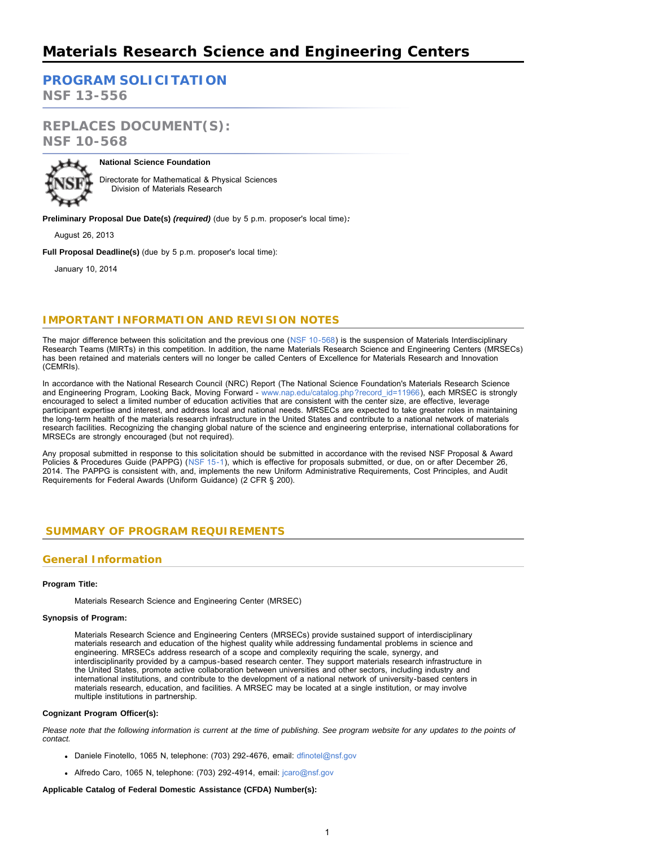# **[PROGRAM SOLICITATION](#page-2-0)**

**NSF 13-556**

# **REPLACES DOCUMENT(S): NSF 10-568**



### **National Science Foundation**

Directorate for Mathematical & Physical Sciences Division of Materials Research

**Preliminary Proposal Due Date(s)** *(required)* (due by 5 p.m. proposer's local time)*:*

August 26, 2013

**Full Proposal Deadline(s)** (due by 5 p.m. proposer's local time):

January 10, 2014

# **IMPORTANT INFORMATION AND REVISION NOTES**

The major difference between this solicitation and the previous one ([NSF 10-568\)](http://www.nsf.gov/pubs/2010/nsf10568/nsf10568.htm) is the suspension of Materials Interdisciplinary Research Teams (MIRTs) in this competition. In addition, the name Materials Research Science and Engineering Centers (MRSECs) has been retained and materials centers will no longer be called Centers of Excellence for Materials Research and Innovation (CEMRIs).

In accordance with the National Research Council (NRC) Report (The National Science Foundation's Materials Research Science and Engineering Program, Looking Back, Moving Forward - [www.nap.edu/catalog.php?record\\_id=11966\)](https://www.nsf.gov/cgi-bin/good-bye?http://www.nap.edu/catalog.php?record_id=11966), each MRSEC is strongly encouraged to select a limited number of education activities that are consistent with the center size, are effective, leverage participant expertise and interest, and address local and national needs. MRSECs are expected to take greater roles in maintaining the long-term health of the materials research infrastructure in the United States and contribute to a national network of materials research facilities. Recognizing the changing global nature of the science and engineering enterprise, international collaborations for MRSECs are strongly encouraged (but not required).

Any proposal submitted in response to this solicitation should be submitted in accordance with the revised NSF Proposal & Award Policies & Procedures Guide (PAPPG) ([NSF 15-1](http://www.nsf.gov/publications/pub_summ.jsp?ods_key=nsf15001)), which is effective for proposals submitted, or due, on or after December 26, 2014. The PAPPG is consistent with, and, implements the new Uniform Administrative Requirements, Cost Principles, and Audit Requirements for Federal Awards (Uniform Guidance) (2 CFR § 200).

# <span id="page-0-0"></span> **SUMMARY OF PROGRAM REQUIREMENTS**

# **General Information**

### **Program Title:**

Materials Research Science and Engineering Center (MRSEC)

### **Synopsis of Program:**

Materials Research Science and Engineering Centers (MRSECs) provide sustained support of interdisciplinary materials research and education of the highest quality while addressing fundamental problems in science and engineering. MRSECs address research of a scope and complexity requiring the scale, synergy, and interdisciplinarity provided by a campus-based research center. They support materials research infrastructure in the United States, promote active collaboration between universities and other sectors, including industry and international institutions, and contribute to the development of a national network of university-based centers in materials research, education, and facilities. A MRSEC may be located at a single institution, or may involve multiple institutions in partnership.

### **Cognizant Program Officer(s):**

*Please note that the following information is current at the time of publishing. See program website for any updates to the points of contact.*

- Daniele Finotello, 1065 N, telephone: (703) 292-4676, email: [dfinotel@nsf.gov](mailto:dfinotel@nsf.gov)
- Alfredo Caro, 1065 N, telephone: (703) 292-4914, email: [jcaro@nsf.gov](mailto:jcaro@nsf.gov)

### **Applicable Catalog of Federal Domestic Assistance (CFDA) Number(s):**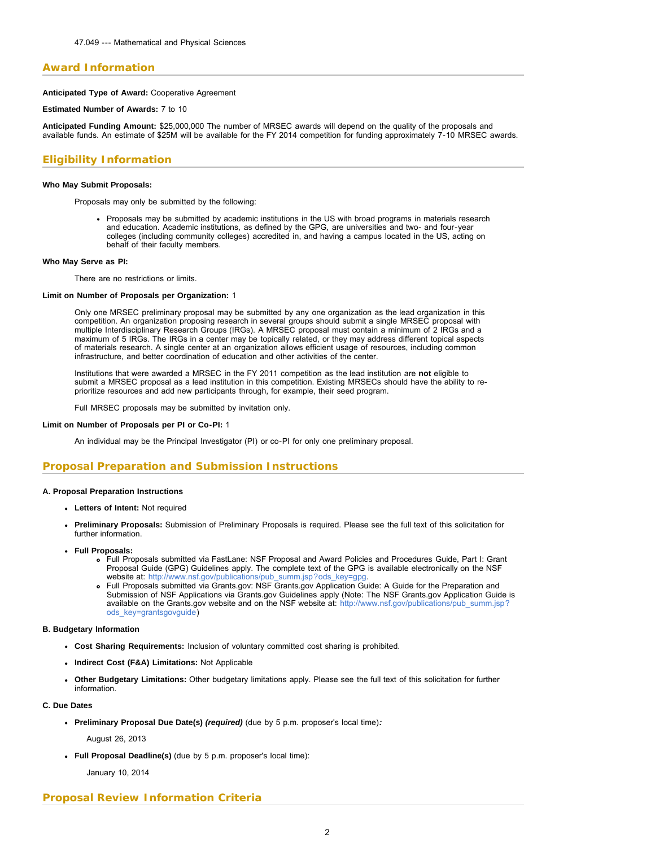# **Award Information**

**Anticipated Type of Award:** Cooperative Agreement

**Estimated Number of Awards:** 7 to 10

**Anticipated Funding Amount:** \$25,000,000 The number of MRSEC awards will depend on the quality of the proposals and available funds. An estimate of \$25M will be available for the FY 2014 competition for funding approximately 7-10 MRSEC awards.

# **Eligibility Information**

### **Who May Submit Proposals:**

Proposals may only be submitted by the following:

Proposals may be submitted by academic institutions in the US with broad programs in materials research and education. Academic institutions, as defined by the GPG, are universities and two- and four-year colleges (including community colleges) accredited in, and having a campus located in the US, acting on behalf of their faculty members.

### **Who May Serve as PI:**

There are no restrictions or limits.

### **Limit on Number of Proposals per Organization:** 1

Only one MRSEC preliminary proposal may be submitted by any one organization as the lead organization in this competition. An organization proposing research in several groups should submit a single MRSEC proposal with multiple Interdisciplinary Research Groups (IRGs). A MRSEC proposal must contain a minimum of 2 IRGs and a maximum of 5 IRGs. The IRGs in a center may be topically related, or they may address different topical aspects of materials research. A single center at an organization allows efficient usage of resources, including common infrastructure, and better coordination of education and other activities of the center.

Institutions that were awarded a MRSEC in the FY 2011 competition as the lead institution are **not** eligible to submit a MRSEC proposal as a lead institution in this competition. Existing MRSECs should have the ability to reprioritize resources and add new participants through, for example, their seed program.

Full MRSEC proposals may be submitted by invitation only.

### **Limit on Number of Proposals per PI or Co-PI:** 1

An individual may be the Principal Investigator (PI) or co-PI for only one preliminary proposal.

# **Proposal Preparation and Submission Instructions**

### **A. Proposal Preparation Instructions**

- **Letters of Intent:** Not required
- **Preliminary Proposals:** Submission of Preliminary Proposals is required. Please see the full text of this solicitation for further information.
- **Full Proposals:**
	- Full Proposals submitted via FastLane: NSF Proposal and Award Policies and Procedures Guide, Part I: Grant Proposal Guide (GPG) Guidelines apply. The complete text of the GPG is available electronically on the NSF website at: [http://www.nsf.gov/publications/pub\\_summ.jsp?ods\\_key=gpg.](http://www.nsf.gov/publications/pub_summ.jsp?ods_key=gpg)
	- Full Proposals submitted via Grants.gov: NSF Grants.gov Application Guide: A Guide for the Preparation and Submission of NSF Applications via Grants.gov Guidelines apply (Note: The NSF Grants.gov Application Guide is available on the Grants.gov website and on the NSF website at: [http://www.nsf.gov/publications/pub\\_summ.jsp?](http://www.nsf.gov/publications/pub_summ.jsp?ods_key=grantsgovguide) [ods\\_key=grantsgovguide\)](http://www.nsf.gov/publications/pub_summ.jsp?ods_key=grantsgovguide)

### **B. Budgetary Information**

- **Cost Sharing Requirements:** Inclusion of voluntary committed cost sharing is prohibited.
- **Indirect Cost (F&A) Limitations:** Not Applicable
- **Other Budgetary Limitations:** Other budgetary limitations apply. Please see the full text of this solicitation for further information.

### **C. Due Dates**

- **Preliminary Proposal Due Date(s)** *(required)* (due by 5 p.m. proposer's local time)*:*
	- August 26, 2013
- **Full Proposal Deadline(s)** (due by 5 p.m. proposer's local time):

January 10, 2014

# **Proposal Review Information Criteria**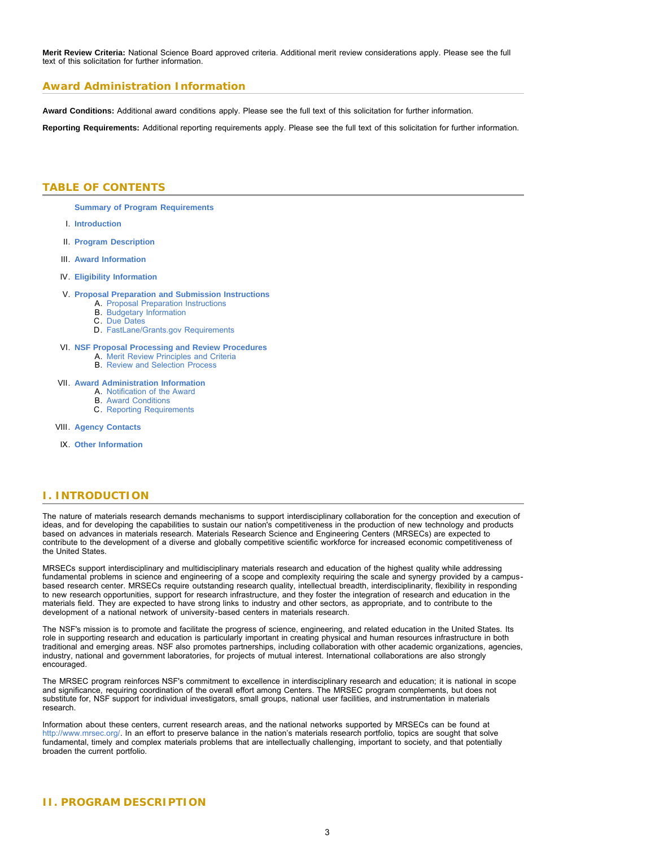**Merit Review Criteria:** National Science Board approved criteria. Additional merit review considerations apply. Please see the full text of this solicitation for further information.

# **Award Administration Information**

**Award Conditions:** Additional award conditions apply. Please see the full text of this solicitation for further information.

<span id="page-2-0"></span>**Reporting Requirements:** Additional reporting requirements apply. Please see the full text of this solicitation for further information.

# **TABLE OF CONTENTS**

**[Summary of Program Requirements](#page-0-0)**

- I. **[Introduction](#page-2-1)**
- II. **[Program Description](#page-2-2)**
- III. **[Award Information](#page-3-0)**
- IV. **[Eligibility Information](#page-3-1)**
- V. **[Proposal Preparation and Submission Instructions](#page-4-0)**
	- A. [Proposal Preparation Instructions](#page-4-0)
	- B. [Budgetary Information](#page-9-0)
	- C. [Due Dates](#page-9-1) D. [FastLane/Grants.gov Requirements](#page-9-2)
	-
- VI. **[NSF Proposal Processing and Review Procedures](#page-9-3)**
	- A. [Merit Review Principles and Criteria](#page-10-0) B. [Review and Selection Process](#page-11-0)
	-

### VII. **[Award Administration Information](#page-12-0)**

- A. [Notification of the Award](#page-12-1)
- B. [Award Conditions](#page-12-2)
- C. [Reporting Requirements](#page-12-3)
- VIII. **[Agency Contacts](#page-12-4)**
- IX. **[Other Information](#page-13-0)**

# <span id="page-2-1"></span>**I. INTRODUCTION**

The nature of materials research demands mechanisms to support interdisciplinary collaboration for the conception and execution of ideas, and for developing the capabilities to sustain our nation's competitiveness in the production of new technology and products based on advances in materials research. Materials Research Science and Engineering Centers (MRSECs) are expected to contribute to the development of a diverse and globally competitive scientific workforce for increased economic competitiveness of the United States.

MRSECs support interdisciplinary and multidisciplinary materials research and education of the highest quality while addressing fundamental problems in science and engineering of a scope and complexity requiring the scale and synergy provided by a campusbased research center. MRSECs require outstanding research quality, intellectual breadth, interdisciplinarity, flexibility in responding to new research opportunities, support for research infrastructure, and they foster the integration of research and education in the materials field. They are expected to have strong links to industry and other sectors, as appropriate, and to contribute to the development of a national network of university-based centers in materials research.

The NSF's mission is to promote and facilitate the progress of science, engineering, and related education in the United States. Its role in supporting research and education is particularly important in creating physical and human resources infrastructure in both traditional and emerging areas. NSF also promotes partnerships, including collaboration with other academic organizations, agencies, industry, national and government laboratories, for projects of mutual interest. International collaborations are also strongly encouraged.

The MRSEC program reinforces NSF's commitment to excellence in interdisciplinary research and education; it is national in scope and significance, requiring coordination of the overall effort among Centers. The MRSEC program complements, but does not substitute for, NSF support for individual investigators, small groups, national user facilities, and instrumentation in materials research.

<span id="page-2-2"></span>Information about these centers, current research areas, and the national networks supported by MRSECs can be found at [http://www.mrsec.org/.](https://www.nsf.gov/cgi-bin/good-bye?http://www.mrsec.org/) In an effort to preserve balance in the nation's materials research portfolio, topics are sought that solve fundamental, timely and complex materials problems that are intellectually challenging, important to society, and that potentially broaden the current portfolio.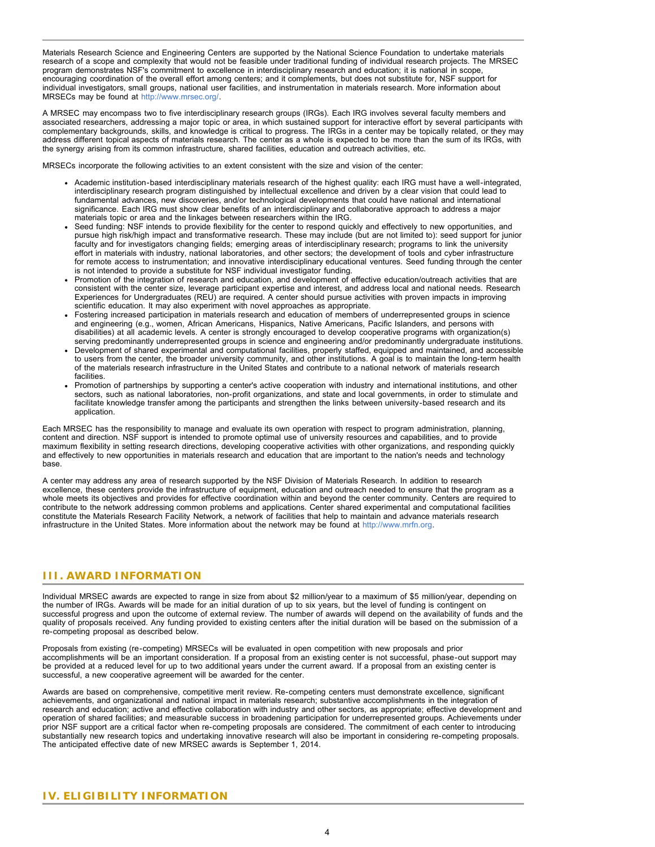Materials Research Science and Engineering Centers are supported by the National Science Foundation to undertake materials research of a scope and complexity that would not be feasible under traditional funding of individual research projects. The MRSEC program demonstrates NSF's commitment to excellence in interdisciplinary research and education; it is national in scope, encouraging coordination of the overall effort among centers; and it complements, but does not substitute for, NSF support for individual investigators, small groups, national user facilities, and instrumentation in materials research. More information about MRSECs may be found at [http://www.mrsec.org/.](https://www.nsf.gov/cgi-bin/good-bye?http://www.mrsec.org/)

A MRSEC may encompass two to five interdisciplinary research groups (IRGs). Each IRG involves several faculty members and associated researchers, addressing a major topic or area, in which sustained support for interactive effort by several participants with complementary backgrounds, skills, and knowledge is critical to progress. The IRGs in a center may be topically related, or they may address different topical aspects of materials research. The center as a whole is expected to be more than the sum of its IRGs, with the synergy arising from its common infrastructure, shared facilities, education and outreach activities, etc.

MRSECs incorporate the following activities to an extent consistent with the size and vision of the center:

- Academic institution-based interdisciplinary materials research of the highest quality: each IRG must have a well-integrated, interdisciplinary research program distinguished by intellectual excellence and driven by a clear vision that could lead to fundamental advances, new discoveries, and/or technological developments that could have national and international significance. Each IRG must show clear benefits of an interdisciplinary and collaborative approach to address a major materials topic or area and the linkages between researchers within the IRG.
- Seed funding: NSF intends to provide flexibility for the center to respond quickly and effectively to new opportunities, and pursue high risk/high impact and transformative research. These may include (but are not limited to): seed support for junior faculty and for investigators changing fields; emerging areas of interdisciplinary research; programs to link the university effort in materials with industry, national laboratories, and other sectors; the development of tools and cyber infrastructure for remote access to instrumentation; and innovative interdisciplinary educational ventures. Seed funding through the center is not intended to provide a substitute for NSF individual investigator funding.
- Promotion of the integration of research and education, and development of effective education/outreach activities that are consistent with the center size, leverage participant expertise and interest, and address local and national needs. Research Experiences for Undergraduates (REU) are required. A center should pursue activities with proven impacts in improving scientific education. It may also experiment with novel approaches as appropriate.
- Fostering increased participation in materials research and education of members of underrepresented groups in science and engineering (e.g., women, African Americans, Hispanics, Native Americans, Pacific Islanders, and persons with disabilities) at all academic levels. A center is strongly encouraged to develop cooperative programs with organization(s) serving predominantly underrepresented groups in science and engineering and/or predominantly undergraduate institutions.
- Development of shared experimental and computational facilities, properly staffed, equipped and maintained, and accessible to users from the center, the broader university community, and other institutions. A goal is to maintain the long-term health of the materials research infrastructure in the United States and contribute to a national network of materials research facilities.
- Promotion of partnerships by supporting a center's active cooperation with industry and international institutions, and other sectors, such as national laboratories, non-profit organizations, and state and local governments, in order to stimulate and facilitate knowledge transfer among the participants and strengthen the links between university-based research and its application.

Each MRSEC has the responsibility to manage and evaluate its own operation with respect to program administration, planning, content and direction. NSF support is intended to promote optimal use of university resources and capabilities, and to provide maximum flexibility in setting research directions, developing cooperative activities with other organizations, and responding quickly and effectively to new opportunities in materials research and education that are important to the nation's needs and technology base.

A center may address any area of research supported by the NSF Division of Materials Research. In addition to research excellence, these centers provide the infrastructure of equipment, education and outreach needed to ensure that the program as a whole meets its objectives and provides for effective coordination within and beyond the center community. Centers are required to contribute to the network addressing common problems and applications. Center shared experimental and computational facilities constitute the Materials Research Facility Network, a network of facilities that help to maintain and advance materials research infrastructure in the United States. More information about the network may be found at [http://www.mrfn.org](https://www.nsf.gov/cgi-bin/good-bye?http://www.mrfn.org).

# <span id="page-3-0"></span>**III. AWARD INFORMATION**

Individual MRSEC awards are expected to range in size from about \$2 million/year to a maximum of \$5 million/year, depending on the number of IRGs. Awards will be made for an initial duration of up to six years, but the level of funding is contingent on successful progress and upon the outcome of external review. The number of awards will depend on the availability of funds and the quality of proposals received. Any funding provided to existing centers after the initial duration will be based on the submission of a re-competing proposal as described below.

Proposals from existing (re-competing) MRSECs will be evaluated in open competition with new proposals and prior accomplishments will be an important consideration. If a proposal from an existing center is not successful, phase-out support may be provided at a reduced level for up to two additional years under the current award. If a proposal from an existing center is successful, a new cooperative agreement will be awarded for the center.

<span id="page-3-1"></span>Awards are based on comprehensive, competitive merit review. Re-competing centers must demonstrate excellence, significant achievements, and organizational and national impact in materials research; substantive accomplishments in the integration of research and education; active and effective collaboration with industry and other sectors, as appropriate; effective development and operation of shared facilities; and measurable success in broadening participation for underrepresented groups. Achievements under prior NSF support are a critical factor when re-competing proposals are considered. The commitment of each center to introducing substantially new research topics and undertaking innovative research will also be important in considering re-competing proposals. The anticipated effective date of new MRSEC awards is September 1, 2014.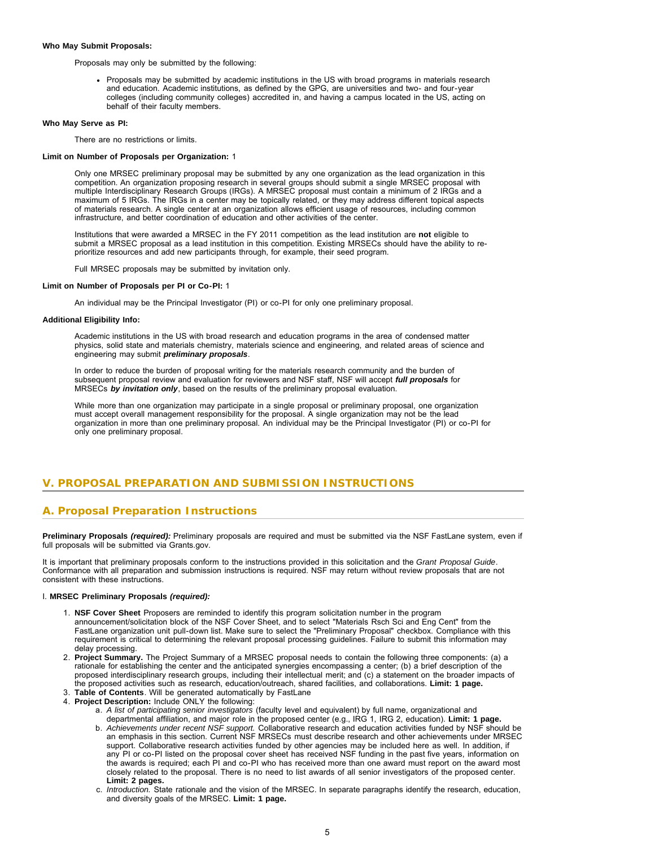#### **Who May Submit Proposals:**

Proposals may only be submitted by the following:

Proposals may be submitted by academic institutions in the US with broad programs in materials research and education. Academic institutions, as defined by the GPG, are universities and two- and four-year colleges (including community colleges) accredited in, and having a campus located in the US, acting on behalf of their faculty members.

#### **Who May Serve as PI:**

There are no restrictions or limits.

### **Limit on Number of Proposals per Organization:** 1

Only one MRSEC preliminary proposal may be submitted by any one organization as the lead organization in this competition. An organization proposing research in several groups should submit a single MRSEC proposal with multiple Interdisciplinary Research Groups (IRGs). A MRSEC proposal must contain a minimum of 2 IRGs and a maximum of 5 IRGs. The IRGs in a center may be topically related, or they may address different topical aspects of materials research. A single center at an organization allows efficient usage of resources, including common infrastructure, and better coordination of education and other activities of the center.

Institutions that were awarded a MRSEC in the FY 2011 competition as the lead institution are **not** eligible to submit a MRSEC proposal as a lead institution in this competition. Existing MRSECs should have the ability to reprioritize resources and add new participants through, for example, their seed program.

Full MRSEC proposals may be submitted by invitation only.

### **Limit on Number of Proposals per PI or Co-PI:** 1

An individual may be the Principal Investigator (PI) or co-PI for only one preliminary proposal.

#### **Additional Eligibility Info:**

Academic institutions in the US with broad research and education programs in the area of condensed matter physics, solid state and materials chemistry, materials science and engineering, and related areas of science and engineering may submit *preliminary proposals*.

In order to reduce the burden of proposal writing for the materials research community and the burden of subsequent proposal review and evaluation for reviewers and NSF staff, NSF will accept *full proposals* for MRSECs *by invitation only*, based on the results of the preliminary proposal evaluation.

While more than one organization may participate in a single proposal or preliminary proposal, one organization must accept overall management responsibility for the proposal. A single organization may not be the lead organization in more than one preliminary proposal. An individual may be the Principal Investigator (PI) or co-PI for only one preliminary proposal.

# <span id="page-4-0"></span>**V. PROPOSAL PREPARATION AND SUBMISSION INSTRUCTIONS**

# **A. Proposal Preparation Instructions**

**Preliminary Proposals** *(required):* Preliminary proposals are required and must be submitted via the NSF FastLane system, even if full proposals will be submitted via Grants.gov.

It is important that preliminary proposals conform to the instructions provided in this solicitation and the *Grant Proposal Guide*. Conformance with all preparation and submission instructions is required. NSF may return without review proposals that are not consistent with these instructions.

#### I. **MRSEC Preliminary Proposals** *(required):*

- 1. **NSF Cover Sheet** Proposers are reminded to identify this program solicitation number in the program announcement/solicitation block of the NSF Cover Sheet, and to select "Materials Rsch Sci and Eng Cent" from the FastLane organization unit pull-down list. Make sure to select the "Preliminary Proposal" checkbox. Compliance with this requirement is critical to determining the relevant proposal processing guidelines. Failure to submit this information may delay processing.
- 2. **Project Summary.** The Project Summary of a MRSEC proposal needs to contain the following three components: (a) a rationale for establishing the center and the anticipated synergies encompassing a center; (b) a brief description of the proposed interdisciplinary research groups, including their intellectual merit; and (c) a statement on the broader impacts of the proposed activities such as research, education/outreach, shared facilities, and collaborations. **Limit: 1 page.**
- 3. **Table of Contents**. Will be generated automatically by FastLane
- 4. **Project Description:** Include ONLY the following:
	- a. *A list of participating senior investigators* (faculty level and equivalent) by full name, organizational and departmental affiliation, and major role in the proposed center (e.g., IRG 1, IRG 2, education). **Limit: 1 page.**
	- b. *Achievements under recent NSF support.* Collaborative research and education activities funded by NSF should be an emphasis in this section. Current NSF MRSECs must describe research and other achievements under MRSEC support. Collaborative research activities funded by other agencies may be included here as well. In addition, if any PI or co-PI listed on the proposal cover sheet has received NSF funding in the past five years, information on the awards is required; each PI and co-PI who has received more than one award must report on the award most closely related to the proposal. There is no need to list awards of all senior investigators of the proposed center. **Limit: 2 pages.**
	- c. *Introduction.* State rationale and the vision of the MRSEC. In separate paragraphs identify the research, education, and diversity goals of the MRSEC. **Limit: 1 page.**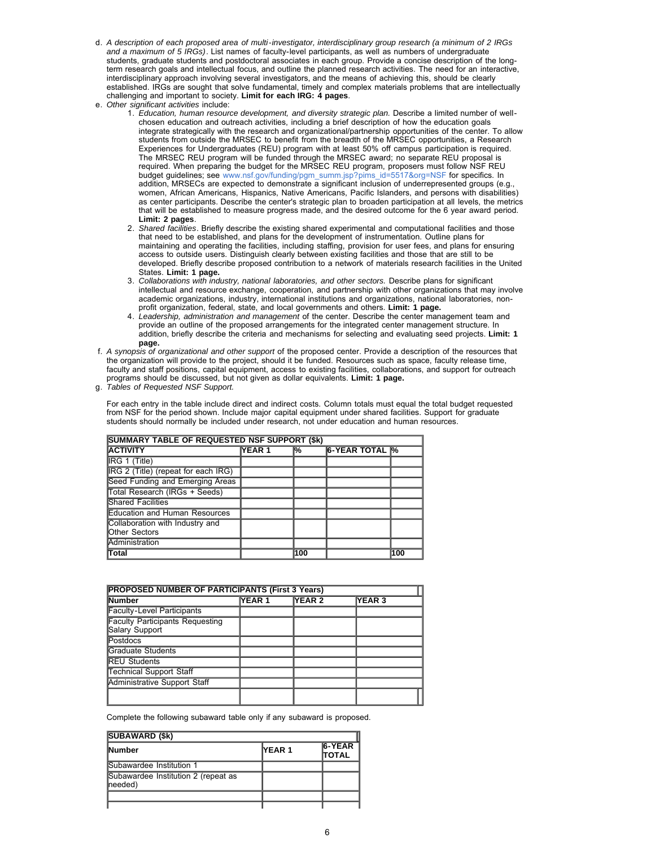- d. *A description of each proposed area of multi-investigator, interdisciplinary group research (a minimum of 2 IRGs and a maximum of 5 IRGs)*. List names of faculty-level participants, as well as numbers of undergraduate students, graduate students and postdoctoral associates in each group. Provide a concise description of the longterm research goals and intellectual focus, and outline the planned research activities. The need for an interactive, interdisciplinary approach involving several investigators, and the means of achieving this, should be clearly established. IRGs are sought that solve fundamental, timely and complex materials problems that are intellectually challenging and important to society. **Limit for each IRG: 4 pages**.
- e. *Other significant activities* include:
	- 1. *Education, human resource development, and diversity strategic plan.* Describe a limited number of wellchosen education and outreach activities, including a brief description of how the education goals integrate strategically with the research and organizational/partnership opportunities of the center. To allow students from outside the MRSEC to benefit from the breadth of the MRSEC opportunities, a Research Experiences for Undergraduates (REU) program with at least 50% off campus participation is required. The MRSEC REU program will be funded through the MRSEC award; no separate REU proposal is required. When preparing the budget for the MRSEC REU program, proposers must follow NSF REU budget guidelines; see [www.nsf.gov/funding/pgm\\_summ.jsp?pims\\_id=5517&org=NSF](http://www.nsf.gov/funding/pgm_summ.jsp?pims_id=5517&org=NSF) for specifics. In addition, MRSECs are expected to demonstrate a significant inclusion of underrepresented groups (e.g., women, African Americans, Hispanics, Native Americans, Pacific Islanders, and persons with disabilities) as center participants. Describe the center's strategic plan to broaden participation at all levels, the metrics that will be established to measure progress made, and the desired outcome for the 6 year award period. **Limit: 2 pages**.
	- 2. *Shared facilities*. Briefly describe the existing shared experimental and computational facilities and those that need to be established, and plans for the development of instrumentation. Outline plans for maintaining and operating the facilities, including staffing, provision for user fees, and plans for ensuring access to outside users. Distinguish clearly between existing facilities and those that are still to be developed. Briefly describe proposed contribution to a network of materials research facilities in the United States. **Limit: 1 page.**
	- 3. *Collaborations with industry, national laboratories, and other sectors.* Describe plans for significant intellectual and resource exchange, cooperation, and partnership with other organizations that may involve academic organizations, industry, international institutions and organizations, national laboratories, nonprofit organization, federal, state, and local governments and others. **Limit: 1 page.**
	- 4. *Leadership, administration and management* of the center. Describe the center management team and provide an outline of the proposed arrangements for the integrated center management structure. In addition, briefly describe the criteria and mechanisms for selecting and evaluating seed projects. **Limit: 1 page.**
- f. *A synopsis of organizational and other support* of the proposed center. Provide a description of the resources that the organization will provide to the project, should it be funded. Resources such as space, faculty release time, faculty and staff positions, capital equipment, access to existing facilities, collaborations, and support for outreach programs should be discussed, but not given as dollar equivalents. **Limit: 1 page.**

g. *Tables of Requested NSF Support.*

For each entry in the table include direct and indirect costs. Column totals must equal the total budget requested from NSF for the period shown. Include major capital equipment under shared facilities. Support for graduate students should normally be included under research, not under education and human resources.

| <b>SUMMARY TABLE OF REQUESTED NSF SUPPORT (\$k)</b>     |               |     |                        |     |  |  |  |  |  |  |  |
|---------------------------------------------------------|---------------|-----|------------------------|-----|--|--|--|--|--|--|--|
| <b>ACTIVITY</b>                                         | <b>YEAR 1</b> | l%  | <b>6-YEAR TOTAL 1%</b> |     |  |  |  |  |  |  |  |
| $ {\sf IRG} \> 1 \> (Title)$                            |               |     |                        |     |  |  |  |  |  |  |  |
| IRG 2 (Title) (repeat for each IRG)                     |               |     |                        |     |  |  |  |  |  |  |  |
| Seed Funding and Emerging Areas                         |               |     |                        |     |  |  |  |  |  |  |  |
| Total Research (IRGs + Seeds)                           |               |     |                        |     |  |  |  |  |  |  |  |
| <b>Shared Facilities</b>                                |               |     |                        |     |  |  |  |  |  |  |  |
| Education and Human Resources                           |               |     |                        |     |  |  |  |  |  |  |  |
| Collaboration with Industry and<br><b>Other Sectors</b> |               |     |                        |     |  |  |  |  |  |  |  |
| Administration                                          |               |     |                        |     |  |  |  |  |  |  |  |
| <b>Total</b>                                            |               | 100 |                        | 100 |  |  |  |  |  |  |  |

| <b>PROPOSED NUMBER OF PARTICIPANTS (First 3 Years)</b>   |               |               |         |  |  |  |  |  |  |
|----------------------------------------------------------|---------------|---------------|---------|--|--|--|--|--|--|
| <b>Number</b>                                            | <b>YEAR 1</b> | <b>YEAR 2</b> | IYEAR 3 |  |  |  |  |  |  |
| <b>Faculty-Level Participants</b>                        |               |               |         |  |  |  |  |  |  |
| <b>Faculty Participants Requesting</b><br>Salary Support |               |               |         |  |  |  |  |  |  |
| <b>Postdocs</b>                                          |               |               |         |  |  |  |  |  |  |
| Graduate Students                                        |               |               |         |  |  |  |  |  |  |
| <b>REU Students</b>                                      |               |               |         |  |  |  |  |  |  |
| <b>Technical Support Staff</b>                           |               |               |         |  |  |  |  |  |  |
| Administrative Support Staff                             |               |               |         |  |  |  |  |  |  |
|                                                          |               |               |         |  |  |  |  |  |  |

Complete the following subaward table only if any subaward is proposed.

| <b>SUBAWARD (\$k)</b>                            |                |                               |
|--------------------------------------------------|----------------|-------------------------------|
| <b>Number</b>                                    | <b>IYEAR 1</b> | <b>6-YEAR</b><br><b>TOTAL</b> |
| <b>Subawardee Institution 1</b>                  |                |                               |
| Subawardee Institution 2 (repeat as<br>(Ineeded) |                |                               |
|                                                  |                |                               |
|                                                  |                |                               |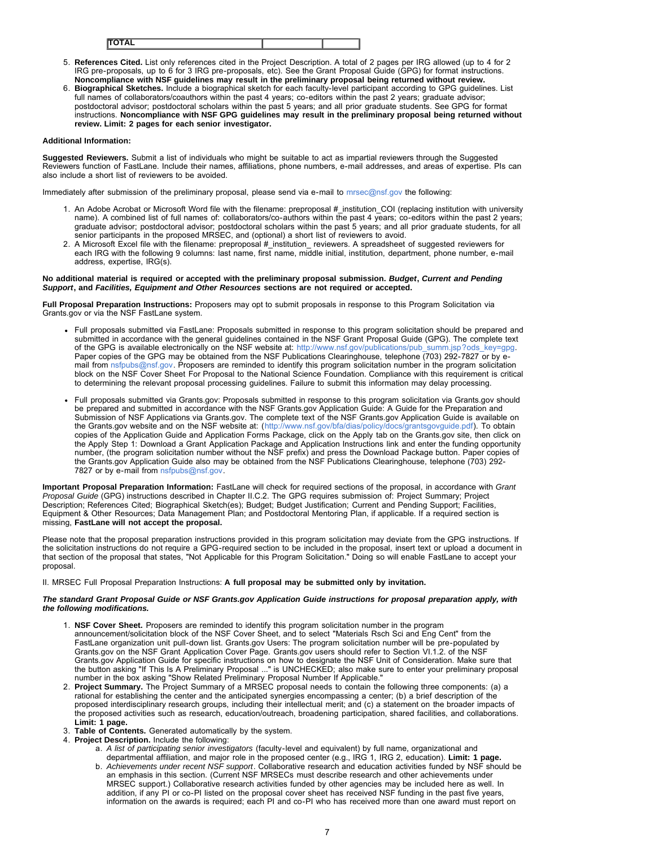- 5. **References Cited.** List only references cited in the Project Description. A total of 2 pages per IRG allowed (up to 4 for 2 IRG pre-proposals, up to 6 for 3 IRG pre-proposals, etc). See the Grant Proposal Guide (GPG) for format instructions.
- **Noncompliance with NSF guidelines may result in the preliminary proposal being returned without review.** 6. **Biographical Sketches.** Include a biographical sketch for each faculty-level participant according to GPG guidelines. List full names of collaborators/coauthors within the past 4 years; co-editors within the past 2 years; graduate advisor; postdoctoral advisor; postdoctoral scholars within the past 5 years; and all prior graduate students. See GPG for format instructions. **Noncompliance with NSF GPG guidelines may result in the preliminary proposal being returned without review. Limit: 2 pages for each senior investigator.**

### **Additional Information:**

**Suggested Reviewers.** Submit a list of individuals who might be suitable to act as impartial reviewers through the Suggested Reviewers function of FastLane. Include their names, affiliations, phone numbers, e-mail addresses, and areas of expertise. PIs can also include a short list of reviewers to be avoided.

Immediately after submission of the preliminary proposal, please send via e-mail to [mrsec@nsf.gov t](mailto:mrsec@nsf.gov)he following:

- 1. An Adobe Acrobat or Microsoft Word file with the filename: preproposal # institution COI (replacing institution with university name). A combined list of full names of: collaborators/co-authors within the past 4 years; co-editors within the past 2 years; graduate advisor; postdoctoral advisor; postdoctoral scholars within the past 5 years; and all prior graduate students, for all senior participants in the proposed MRSEC, and (optional) a short list of reviewers to avoid.
- 2. A Microsoft Excel file with the filename: preproposal #\_institution\_ reviewers. A spreadsheet of suggested reviewers for each IRG with the following 9 columns: last name, first name, middle initial, institution, department, phone number, e-mail address, expertise, IRG(s).

#### **No additional material is required or accepted with the preliminary proposal submission.** *Budget***,** *Current and Pending Support***, and** *Facilities, Equipment and Other Resources* **sections are not required or accepted.**

**Full Proposal Preparation Instructions:** Proposers may opt to submit proposals in response to this Program Solicitation via Grants.gov or via the NSF FastLane system.

- Full proposals submitted via FastLane: Proposals submitted in response to this program solicitation should be prepared and submitted in accordance with the general guidelines contained in the NSF Grant Proposal Guide (GPG). The complete text of the GPG is available electronically on the NSF website at: [http://www.nsf.gov/publications/pub\\_summ.jsp?ods\\_key=gpg.](http://www.nsf.gov/publications/pub_summ.jsp?ods_key=gpg) Paper copies of the GPG may be obtained from the NSF Publications Clearinghouse, telephone (703) 292-7827 or by email from [nsfpubs@nsf.gov.](mailto:nsfpubs@nsf.gov) Proposers are reminded to identify this program solicitation number in the program solicitation block on the NSF Cover Sheet For Proposal to the National Science Foundation. Compliance with this requirement is critical to determining the relevant proposal processing guidelines. Failure to submit this information may delay processing.
- Full proposals submitted via Grants.gov: Proposals submitted in response to this program solicitation via Grants.gov should be prepared and submitted in accordance with the NSF Grants.gov Application Guide: A Guide for the Preparation and Submission of NSF Applications via Grants.gov. The complete text of the NSF Grants.gov Application Guide is available on the Grants.gov website and on the NSF website at: ([http://www.nsf.gov/bfa/dias/policy/docs/grantsgovguide.pdf\)](http://www.nsf.gov/bfa/dias/policy/docs/grantsgovguide.pdf). To obtain copies of the Application Guide and Application Forms Package, click on the Apply tab on the Grants.gov site, then click on the Apply Step 1: Download a Grant Application Package and Application Instructions link and enter the funding opportunity number, (the program solicitation number without the NSF prefix) and press the Download Package button. Paper copies of the Grants.gov Application Guide also may be obtained from the NSF Publications Clearinghouse, telephone (703) 292- 7827 or by e-mail from [nsfpubs@nsf.gov.](mailto:nsfpubs@nsf.gov)

**Important Proposal Preparation Information:** FastLane will check for required sections of the proposal, in accordance with *Grant Proposal Guide* (GPG) instructions described in Chapter II.C.2. The GPG requires submission of: Project Summary; Project Description; References Cited; Biographical Sketch(es); Budget; Budget Justification; Current and Pending Support; Facilities, Equipment & Other Resources; Data Management Plan; and Postdoctoral Mentoring Plan, if applicable. If a required section is missing, **FastLane will not accept the proposal.**

Please note that the proposal preparation instructions provided in this program solicitation may deviate from the GPG instructions. If the solicitation instructions do not require a GPG-required section to be included in the proposal, insert text or upload a document in that section of the proposal that states, "Not Applicable for this Program Solicitation." Doing so will enable FastLane to accept your proposal.

II. MRSEC Full Proposal Preparation Instructions: **A full proposal may be submitted only by invitation.**

#### *The standard Grant Proposal Guide or NSF Grants.gov Application Guide instructions for proposal preparation apply, with the following modifications.*

- 1. **NSF Cover Sheet.** Proposers are reminded to identify this program solicitation number in the program announcement/solicitation block of the NSF Cover Sheet, and to select "Materials Rsch Sci and Eng Cent" from the FastLane organization unit pull-down list. Grants.gov Users: The program solicitation number will be pre-populated by Grants.gov on the NSF Grant Application Cover Page. Grants.gov users should refer to Section VI.1.2. of the NSF Grants.gov Application Guide for specific instructions on how to designate the NSF Unit of Consideration. Make sure that the button asking "If This Is A Preliminary Proposal ..." is UNCHECKED; also make sure to enter your preliminary proposal number in the box asking "Show Related Preliminary Proposal Number If Applicable."
- 2. **Project Summary.** The Project Summary of a MRSEC proposal needs to contain the following three components: (a) a rational for establishing the center and the anticipated synergies encompassing a center; (b) a brief description of the proposed interdisciplinary research groups, including their intellectual merit; and (c) a statement on the broader impacts of the proposed activities such as research, education/outreach, broadening participation, shared facilities, and collaborations. **Limit: 1 page.**
- 3. **Table of Contents.** Generated automatically by the system.
- 4. **Project Description.** Include the following:
	- a. *A list of participating senior investigators* (faculty-level and equivalent) by full name, organizational and departmental affiliation, and major role in the proposed center (e.g., IRG 1, IRG 2, education). **Limit: 1 page.**
	- b. *Achievements under recent NSF support*. Collaborative research and education activities funded by NSF should be an emphasis in this section. (Current NSF MRSECs must describe research and other achievements under MRSEC support.) Collaborative research activities funded by other agencies may be included here as well. In addition, if any PI or co-PI listed on the proposal cover sheet has received NSF funding in the past five years, information on the awards is required; each PI and co-PI who has received more than one award must report on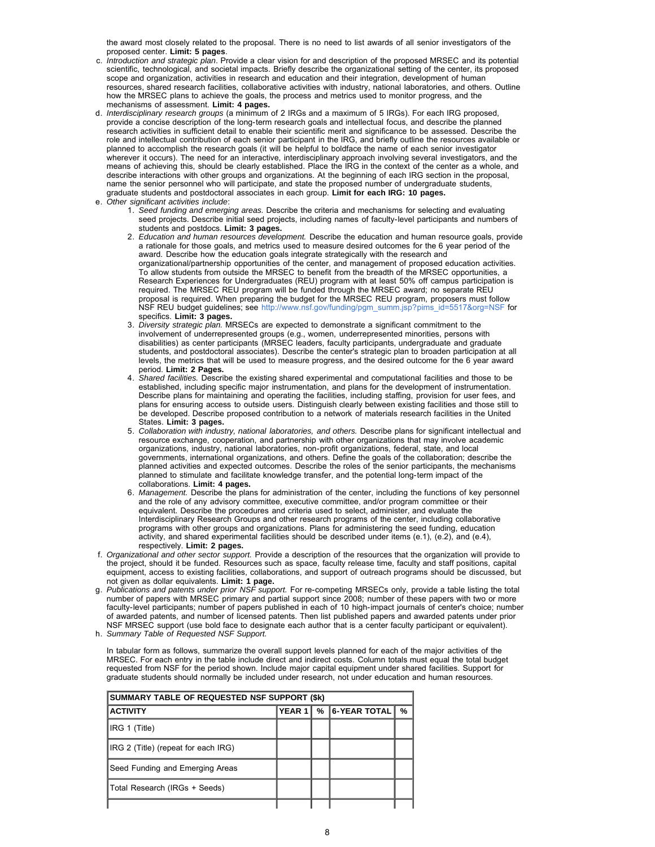the award most closely related to the proposal. There is no need to list awards of all senior investigators of the proposed center. **Limit: 5 pages**.

- c. *Introduction and strategic plan*. Provide a clear vision for and description of the proposed MRSEC and its potential scientific, technological, and societal impacts. Briefly describe the organizational setting of the center, its proposed scope and organization, activities in research and education and their integration, development of human resources, shared research facilities, collaborative activities with industry, national laboratories, and others. Outline how the MRSEC plans to achieve the goals, the process and metrics used to monitor progress, and the mechanisms of assessment. **Limit: 4 pages.**
- d. *Interdisciplinary research groups* (a minimum of 2 IRGs and a maximum of 5 IRGs). For each IRG proposed, provide a concise description of the long-term research goals and intellectual focus, and describe the planned research activities in sufficient detail to enable their scientific merit and significance to be assessed. Describe the role and intellectual contribution of each senior participant in the IRG, and briefly outline the resources available or planned to accomplish the research goals (it will be helpful to boldface the name of each senior investigator wherever it occurs). The need for an interactive, interdisciplinary approach involving several investigators, and the means of achieving this, should be clearly established. Place the IRG in the context of the center as a whole, and describe interactions with other groups and organizations. At the beginning of each IRG section in the proposal, name the senior personnel who will participate, and state the proposed number of undergraduate students, graduate students and postdoctoral associates in each group. **Limit for each IRG: 10 pages.**
- e. *Other significant activities include*:
	- 1. *Seed funding and emerging areas.* Describe the criteria and mechanisms for selecting and evaluating seed projects. Describe initial seed projects, including names of faculty-level participants and numbers of students and postdocs. **Limit: 3 pages.**
	- 2. *Education and human resources development.* Describe the education and human resource goals, provide a rationale for those goals, and metrics used to measure desired outcomes for the 6 year period of the award. Describe how the education goals integrate strategically with the research and organizational/partnership opportunities of the center, and management of proposed education activities. To allow students from outside the MRSEC to benefit from the breadth of the MRSEC opportunities, a Research Experiences for Undergraduates (REU) program with at least 50% off campus participation is required. The MRSEC REU program will be funded through the MRSEC award; no separate REU proposal is required. When preparing the budget for the MRSEC REU program, proposers must follow NSF REU budget guidelines; see [http://www.nsf.gov/funding/pgm\\_summ.jsp?pims\\_id=5517&org=NSF f](http://www.nsf.gov/funding/pgm_summ.jsp?pims_id=5517&org=NSF)or specifics. **Limit: 3 pages.**
	- 3. *Diversity strategic plan.* MRSECs are expected to demonstrate a significant commitment to the involvement of underrepresented groups (e.g., women, underrepresented minorities, persons with disabilities) as center participants (MRSEC leaders, faculty participants, undergraduate and graduate students, and postdoctoral associates). Describe the center's strategic plan to broaden participation at all levels, the metrics that will be used to measure progress, and the desired outcome for the 6 year award period. **Limit: 2 Pages.**
	- 4. *Shared facilities.* Describe the existing shared experimental and computational facilities and those to be established, including specific major instrumentation, and plans for the development of instrumentation. Describe plans for maintaining and operating the facilities, including staffing, provision for user fees, and plans for ensuring access to outside users. Distinguish clearly between existing facilities and those still to be developed. Describe proposed contribution to a network of materials research facilities in the United States. **Limit: 3 pages.**
	- 5. *Collaboration with industry, national laboratories, and others.* Describe plans for significant intellectual and resource exchange, cooperation, and partnership with other organizations that may involve academic organizations, industry, national laboratories, non-profit organizations, federal, state, and local governments, international organizations, and others. Define the goals of the collaboration; describe the planned activities and expected outcomes. Describe the roles of the senior participants, the mechanisms planned to stimulate and facilitate knowledge transfer, and the potential long-term impact of the collaborations. **Limit: 4 pages.**
	- 6. *Management.* Describe the plans for administration of the center, including the functions of key personnel and the role of any advisory committee, executive committee, and/or program committee or their equivalent. Describe the procedures and criteria used to select, administer, and evaluate the Interdisciplinary Research Groups and other research programs of the center, including collaborative programs with other groups and organizations. Plans for administering the seed funding, education activity, and shared experimental facilities should be described under items (e.1), (e.2), and (e.4), respectively. **Limit: 2 pages.**
- f. *Organizational and other sector support.* Provide a description of the resources that the organization will provide to the project, should it be funded. Resources such as space, faculty release time, faculty and staff positions, capital equipment, access to existing facilities, collaborations, and support of outreach programs should be discussed, but not given as dollar equivalents. **Limit: 1 page.**
- g. *Publications and patents under prior NSF support.* For re-competing MRSECs only, provide a table listing the total number of papers with MRSEC primary and partial support since 2008; number of these papers with two or more faculty-level participants; number of papers published in each of 10 high-impact journals of center's choice; number of awarded patents, and number of licensed patents. Then list published papers and awarded patents under prior NSF MRSEC support (use bold face to designate each author that is a center faculty participant or equivalent).
- h. *Summary Table of Requested NSF Support.*

In tabular form as follows, summarize the overall support levels planned for each of the major activities of the MRSEC. For each entry in the table include direct and indirect costs. Column totals must equal the total budget requested from NSF for the period shown. Include major capital equipment under shared facilities. Support for graduate students should normally be included under research, not under education and human resources.

| SUMMARY TABLE OF REQUESTED NSF SUPPORT (\$k) |        |  |                |   |  |  |  |  |  |  |
|----------------------------------------------|--------|--|----------------|---|--|--|--|--|--|--|
| <b>ACTIVITY</b>                              | YEAR 1 |  | % 6-YEAR TOTAL | % |  |  |  |  |  |  |
| IRG 1 (Title)                                |        |  |                |   |  |  |  |  |  |  |
| IRG 2 (Title) (repeat for each IRG)          |        |  |                |   |  |  |  |  |  |  |
| Seed Funding and Emerging Areas              |        |  |                |   |  |  |  |  |  |  |
| Total Research (IRGs + Seeds)                |        |  |                |   |  |  |  |  |  |  |
|                                              |        |  |                |   |  |  |  |  |  |  |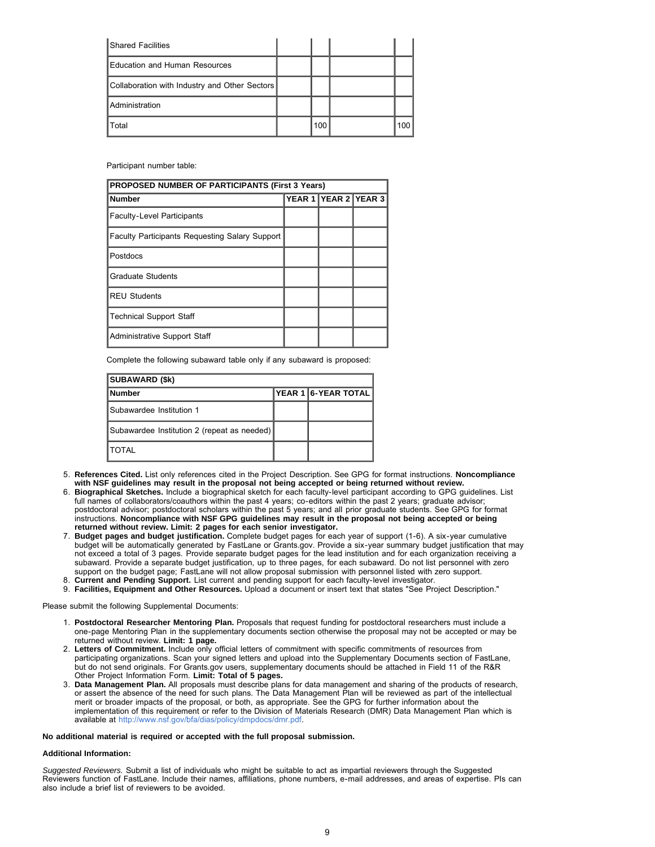| <b>Shared Facilities</b>                      |     |     |
|-----------------------------------------------|-----|-----|
| Education and Human Resources                 |     |     |
| Collaboration with Industry and Other Sectors |     |     |
| <b>Administration</b>                         |     |     |
| Total                                         | 100 | 100 |

Participant number table:

| <b>PROPOSED NUMBER OF PARTICIPANTS (First 3 Years)</b> |  |                      |  |  |  |  |  |  |  |  |
|--------------------------------------------------------|--|----------------------|--|--|--|--|--|--|--|--|
| <b>Number</b>                                          |  | YEAR 1 YEAR 2 YEAR 3 |  |  |  |  |  |  |  |  |
| <b>Faculty-Level Participants</b>                      |  |                      |  |  |  |  |  |  |  |  |
| <b>Faculty Participants Requesting Salary Support</b>  |  |                      |  |  |  |  |  |  |  |  |
| Postdocs                                               |  |                      |  |  |  |  |  |  |  |  |
| <b>Graduate Students</b>                               |  |                      |  |  |  |  |  |  |  |  |
| <b>REU Students</b>                                    |  |                      |  |  |  |  |  |  |  |  |
| <b>Technical Support Staff</b>                         |  |                      |  |  |  |  |  |  |  |  |
| <b>Administrative Support Staff</b>                    |  |                      |  |  |  |  |  |  |  |  |

Complete the following subaward table only if any subaward is proposed:

| <b>SUBAWARD (\$k)</b>                       |  |                     |  |  |  |  |  |  |  |  |  |
|---------------------------------------------|--|---------------------|--|--|--|--|--|--|--|--|--|
| <b>Number</b>                               |  | YEAR 1 6-YEAR TOTAL |  |  |  |  |  |  |  |  |  |
| <b>Subawardee Institution 1</b>             |  |                     |  |  |  |  |  |  |  |  |  |
| Subawardee Institution 2 (repeat as needed) |  |                     |  |  |  |  |  |  |  |  |  |
| <b>TOTAL</b>                                |  |                     |  |  |  |  |  |  |  |  |  |

- 5. **References Cited.** List only references cited in the Project Description. See GPG for format instructions. **Noncompliance with NSF guidelines may result in the proposal not being accepted or being returned without review.**
- 6. **Biographical Sketches.** Include a biographical sketch for each faculty-level participant according to GPG guidelines. List full names of collaborators/coauthors within the past 4 years; co-editors within the past 2 years; graduate advisor; postdoctoral advisor; postdoctoral scholars within the past 5 years; and all prior graduate students. See GPG for format instructions. **Noncompliance with NSF GPG guidelines may result in the proposal not being accepted or being returned without review. Limit: 2 pages for each senior investigator.**
- 7. **Budget pages and budget justification.** Complete budget pages for each year of support (1-6). A six-year cumulative budget will be automatically generated by FastLane or Grants.gov. Provide a six-year summary budget justification that may not exceed a total of 3 pages. Provide separate budget pages for the lead institution and for each organization receiving a subaward. Provide a separate budget justification, up to three pages, for each subaward. Do not list personnel with zero support on the budget page; FastLane will not allow proposal submission with personnel listed with zero support.
- 8. **Current and Pending Support.** List current and pending support for each faculty-level investigator.
- 9. **Facilities, Equipment and Other Resources.** Upload a document or insert text that states "See Project Description."

Please submit the following Supplemental Documents:

- 1. **Postdoctoral Researcher Mentoring Plan.** Proposals that request funding for postdoctoral researchers must include a one-page Mentoring Plan in the supplementary documents section otherwise the proposal may not be accepted or may be returned without review. **Limit: 1 page.**
- 2. **Letters of Commitment.** Include only official letters of commitment with specific commitments of resources from participating organizations. Scan your signed letters and upload into the Supplementary Documents section of FastLane, but do not send originals. For Grants.gov users, supplementary documents should be attached in Field 11 of the R&R Other Project Information Form. **Limit: Total of 5 pages.**
- 3. **Data Management Plan.** All proposals must describe plans for data management and sharing of the products of research, or assert the absence of the need for such plans. The Data Management Plan will be reviewed as part of the intellectual merit or broader impacts of the proposal, or both, as appropriate. See the GPG for further information about the implementation of this requirement or refer to the Division of Materials Research (DMR) Data Management Plan which is available at <http://www.nsf.gov/bfa/dias/policy/dmpdocs/dmr.pdf>.

### **No additional material is required or accepted with the full proposal submission.**

### **Additional Information:**

*Suggested Reviewers.* Submit a list of individuals who might be suitable to act as impartial reviewers through the Suggested Reviewers function of FastLane. Include their names, affiliations, phone numbers, e-mail addresses, and areas of expertise. PIs can also include a brief list of reviewers to be avoided.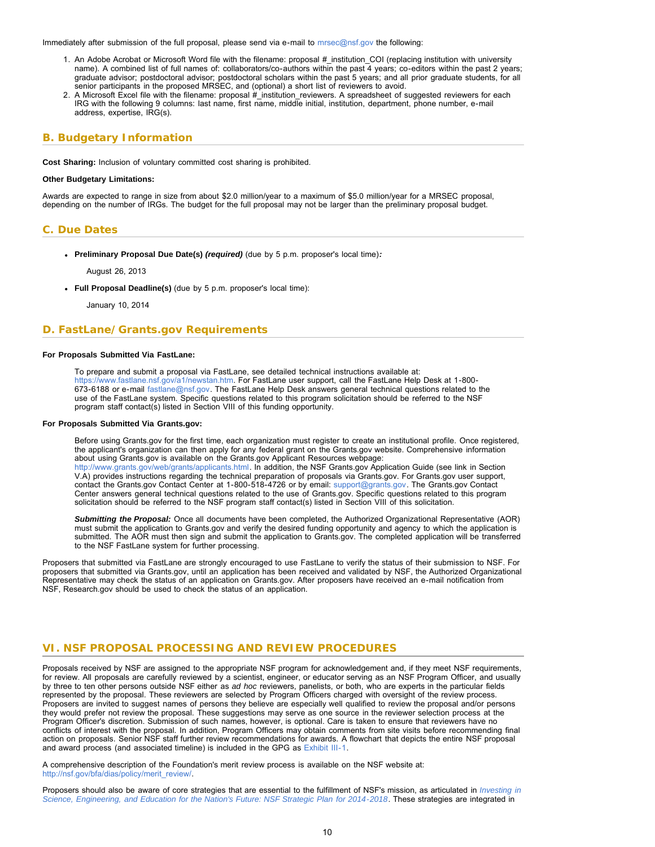<span id="page-9-1"></span>Immediately after submission of the full proposal, please send via e-mail to [mrsec@nsf.gov](mailto: mrsec@nsf.gov) the following:

- 1. An Adobe Acrobat or Microsoft Word file with the filename: proposal #\_institution\_COI (replacing institution with university name). A combined list of full names of: collaborators/co-authors within the past 4 years; co-editors within the past 2 years; graduate advisor; postdoctoral advisor; postdoctoral scholars within the past 5 years; and all prior graduate students, for all senior participants in the proposed MRSEC, and (optional) a short list of reviewers to avoid.
- 2. A Microsoft Excel file with the filename: proposal #\_institution\_reviewers. A spreadsheet of suggested reviewers for each IRG with the following 9 columns: last name, first name, middle initial, institution, department, phone number, e-mail address, expertise, IRG(s).

## <span id="page-9-0"></span>**B. Budgetary Information**

**Cost Sharing:** Inclusion of voluntary committed cost sharing is prohibited.

#### **Other Budgetary Limitations:**

Awards are expected to range in size from about \$2.0 million/year to a maximum of \$5.0 million/year for a MRSEC proposal, depending on the number of IRGs. The budget for the full proposal may not be larger than the preliminary proposal budget.

# **C. Due Dates**

**Preliminary Proposal Due Date(s)** *(required)* (due by 5 p.m. proposer's local time)*:*

August 26, 2013

**Full Proposal Deadline(s)** (due by 5 p.m. proposer's local time):

January 10, 2014

## <span id="page-9-2"></span>**D. FastLane/Grants.gov Requirements**

#### **For Proposals Submitted Via FastLane:**

To prepare and submit a proposal via FastLane, see detailed technical instructions available at: [https://www.fastlane.nsf.gov/a1/newstan.htm.](https://www.fastlane.nsf.gov/a1/newstan.htm) For FastLane user support, call the FastLane Help Desk at 1-800- 673-6188 or e-mail [fastlane@nsf.gov.](mailto:fastlane@nsf.gov) The FastLane Help Desk answers general technical questions related to the use of the FastLane system. Specific questions related to this program solicitation should be referred to the NSF program staff contact(s) listed in Section VIII of this funding opportunity.

#### **For Proposals Submitted Via Grants.gov:**

Before using Grants.gov for the first time, each organization must register to create an institutional profile. Once registered, the applicant's organization can then apply for any federal grant on the Grants.gov website. Comprehensive information about using Grants.gov is available on the Grants.gov Applicant Resources webpage: [http://www.grants.gov/web/grants/applicants.html.](http://www.grants.gov/web/grants/applicants.html) In addition, the NSF Grants.gov Application Guide (see link in Section V.A) provides instructions regarding the technical preparation of proposals via Grants.gov. For Grants.gov user support,

contact the Grants.gov Contact Center at 1-800-518-4726 or by email: [support@grants.gov](mailto:support@grants.gov). The Grants.gov Contact Center answers general technical questions related to the use of Grants.gov. Specific questions related to this program solicitation should be referred to the NSF program staff contact(s) listed in Section VIII of this solicitation.

*Submitting the Proposal:* Once all documents have been completed, the Authorized Organizational Representative (AOR) must submit the application to Grants.gov and verify the desired funding opportunity and agency to which the application is submitted. The AOR must then sign and submit the application to Grants.gov. The completed application will be transferred to the NSF FastLane system for further processing.

Proposers that submitted via FastLane are strongly encouraged to use FastLane to verify the status of their submission to NSF. For proposers that submitted via Grants.gov, until an application has been received and validated by NSF, the Authorized Organizational Representative may check the status of an application on Grants.gov. After proposers have received an e-mail notification from NSF, Research.gov should be used to check the status of an application.

### <span id="page-9-3"></span>**VI. NSF PROPOSAL PROCESSING AND REVIEW PROCEDURES**

Proposals received by NSF are assigned to the appropriate NSF program for acknowledgement and, if they meet NSF requirements, for review. All proposals are carefully reviewed by a scientist, engineer, or educator serving as an NSF Program Officer, and usually by three to ten other persons outside NSF either as *ad hoc* reviewers, panelists, or both, who are experts in the particular fields represented by the proposal. These reviewers are selected by Program Officers charged with oversight of the review process. Proposers are invited to suggest names of persons they believe are especially well qualified to review the proposal and/or persons they would prefer not review the proposal. These suggestions may serve as one source in the reviewer selection process at the Program Officer's discretion. Submission of such names, however, is optional. Care is taken to ensure that reviewers have no conflicts of interest with the proposal. In addition, Program Officers may obtain comments from site visits before recommending final action on proposals. Senior NSF staff further review recommendations for awards. A flowchart that depicts the entire NSF proposal and award process (and associated timeline) is included in the GPG as [Exhibit III-1](http://www.nsf.gov/pubs/policydocs/pappguide/nsf14001/gpg_3ex1.pdf).

A comprehensive description of the Foundation's merit review process is available on the NSF website at: [http://nsf.gov/bfa/dias/policy/merit\\_review/.](http://nsf.gov/bfa/dias/policy/merit_review/)

Proposers should also be aware of core strategies that are essential to the fulfillment of NSF's mission, as articulated in *[Investing in](http://www.nsf.gov/pubs/2014/nsf14043/nsf14043.pdf) [Science, Engineering, and Education for the Nation's Future: NSF Strategic Plan for 2014-2018](http://www.nsf.gov/pubs/2014/nsf14043/nsf14043.pdf)*. These strategies are integrated in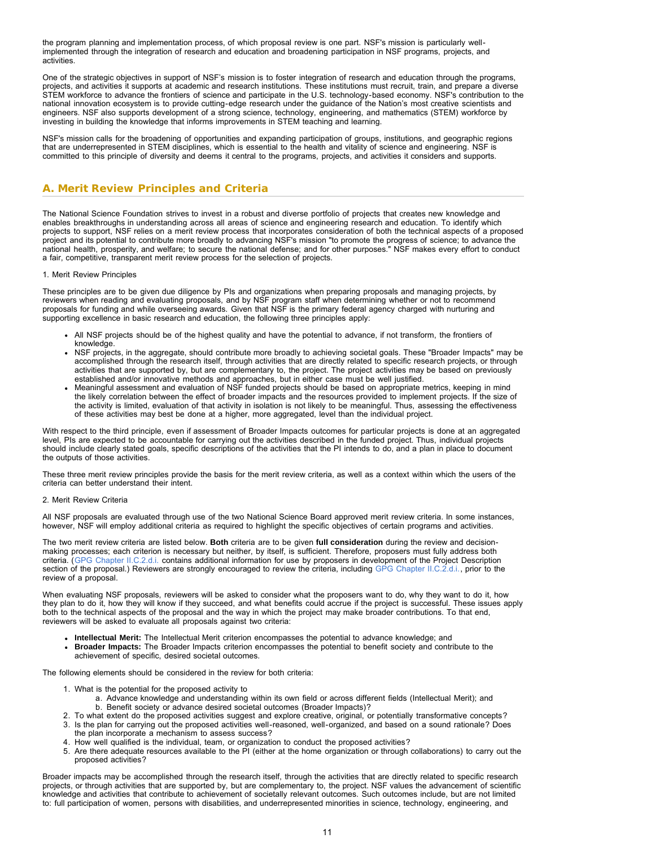the program planning and implementation process, of which proposal review is one part. NSF's mission is particularly wellimplemented through the integration of research and education and broadening participation in NSF programs, projects, and activities.

One of the strategic objectives in support of NSF's mission is to foster integration of research and education through the programs, projects, and activities it supports at academic and research institutions. These institutions must recruit, train, and prepare a diverse STEM workforce to advance the frontiers of science and participate in the U.S. technology-based economy. NSF's contribution to the national innovation ecosystem is to provide cutting-edge research under the guidance of the Nation's most creative scientists and engineers. NSF also supports development of a strong science, technology, engineering, and mathematics (STEM) workforce by investing in building the knowledge that informs improvements in STEM teaching and learning.

NSF's mission calls for the broadening of opportunities and expanding participation of groups, institutions, and geographic regions that are underrepresented in STEM disciplines, which is essential to the health and vitality of science and engineering. NSF is committed to this principle of diversity and deems it central to the programs, projects, and activities it considers and supports.

# <span id="page-10-0"></span>**A. Merit Review Principles and Criteria**

The National Science Foundation strives to invest in a robust and diverse portfolio of projects that creates new knowledge and enables breakthroughs in understanding across all areas of science and engineering research and education. To identify which projects to support, NSF relies on a merit review process that incorporates consideration of both the technical aspects of a proposed project and its potential to contribute more broadly to advancing NSF's mission "to promote the progress of science; to advance the national health, prosperity, and welfare; to secure the national defense; and for other purposes." NSF makes every effort to conduct a fair, competitive, transparent merit review process for the selection of projects.

### 1. Merit Review Principles

These principles are to be given due diligence by PIs and organizations when preparing proposals and managing projects, by reviewers when reading and evaluating proposals, and by NSF program staff when determining whether or not to recommend proposals for funding and while overseeing awards. Given that NSF is the primary federal agency charged with nurturing and supporting excellence in basic research and education, the following three principles apply:

- All NSF projects should be of the highest quality and have the potential to advance, if not transform, the frontiers of knowledge.
- NSF projects, in the aggregate, should contribute more broadly to achieving societal goals. These "Broader Impacts" may be accomplished through the research itself, through activities that are directly related to specific research projects, or through activities that are supported by, but are complementary to, the project. The project activities may be based on previously established and/or innovative methods and approaches, but in either case must be well justified.
- Meaningful assessment and evaluation of NSF funded projects should be based on appropriate metrics, keeping in mind the likely correlation between the effect of broader impacts and the resources provided to implement projects. If the size of the activity is limited, evaluation of that activity in isolation is not likely to be meaningful. Thus, assessing the effectiveness of these activities may best be done at a higher, more aggregated, level than the individual project.

With respect to the third principle, even if assessment of Broader Impacts outcomes for particular projects is done at an aggregated level, PIs are expected to be accountable for carrying out the activities described in the funded project. Thus, individual projects should include clearly stated goals, specific descriptions of the activities that the PI intends to do, and a plan in place to document the outputs of those activities.

These three merit review principles provide the basis for the merit review criteria, as well as a context within which the users of the criteria can better understand their intent.

#### 2. Merit Review Criteria

All NSF proposals are evaluated through use of the two National Science Board approved merit review criteria. In some instances, however, NSF will employ additional criteria as required to highlight the specific objectives of certain programs and activities.

The two merit review criteria are listed below. **Both** criteria are to be given **full consideration** during the review and decisionmaking processes; each criterion is necessary but neither, by itself, is sufficient. Therefore, proposers must fully address both criteria. ([GPG Chapter II.C.2.d.i.](http://www.nsf.gov/pubs/policydocs/pappguide/nsf15001/gpg_2.jsp#IIC2di) contains additional information for use by proposers in development of the Project Description section of the proposal.) Reviewers are strongly encouraged to review the criteria, including [GPG Chapter II.C.2.d.i.,](http://www.nsf.gov/pubs/policydocs/pappguide/nsf15001/gpg_2.jsp#IIC2di) prior to the review of a proposal.

When evaluating NSF proposals, reviewers will be asked to consider what the proposers want to do, why they want to do it, how they plan to do it, how they will know if they succeed, and what benefits could accrue if the project is successful. These issues apply both to the technical aspects of the proposal and the way in which the project may make broader contributions. To that end, reviewers will be asked to evaluate all proposals against two criteria:

- **Intellectual Merit:** The Intellectual Merit criterion encompasses the potential to advance knowledge; and
- **Broader Impacts:** The Broader Impacts criterion encompasses the potential to benefit society and contribute to the achievement of specific, desired societal outcomes.

The following elements should be considered in the review for both criteria:

- 1. What is the potential for the proposed activity to
	- a. Advance knowledge and understanding within its own field or across different fields (Intellectual Merit); and b. Benefit society or advance desired societal outcomes (Broader Impacts)?
- 2. To what extent do the proposed activities suggest and explore creative, original, or potentially transformative concepts?
- 3. Is the plan for carrying out the proposed activities well-reasoned, well-organized, and based on a sound rationale? Does the plan incorporate a mechanism to assess success?
- 4. How well qualified is the individual, team, or organization to conduct the proposed activities?
- 5. Are there adequate resources available to the PI (either at the home organization or through collaborations) to carry out the proposed activities?

Broader impacts may be accomplished through the research itself, through the activities that are directly related to specific research projects, or through activities that are supported by, but are complementary to, the project. NSF values the advancement of scientific knowledge and activities that contribute to achievement of societally relevant outcomes. Such outcomes include, but are not limited to: full participation of women, persons with disabilities, and underrepresented minorities in science, technology, engineering, and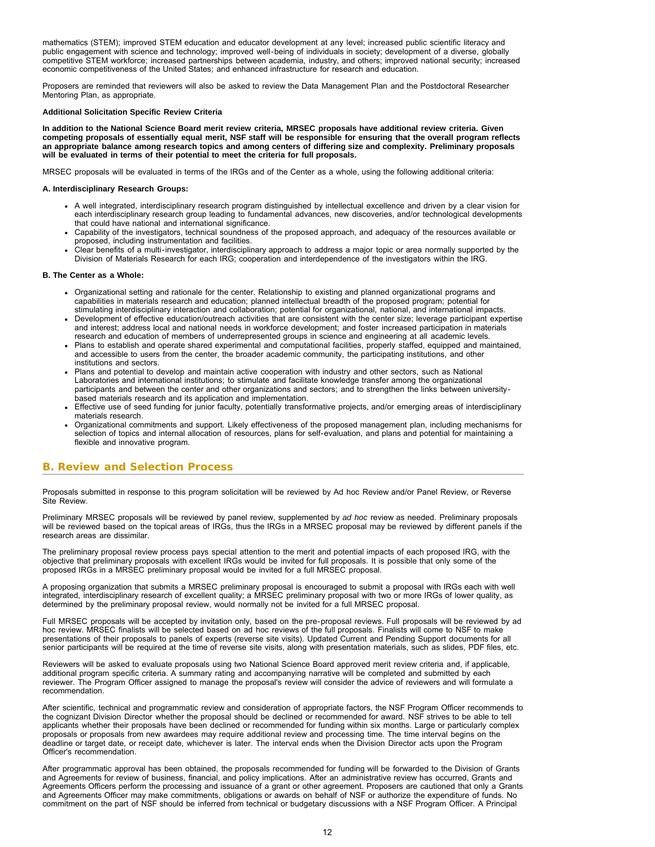mathematics (STEM); improved STEM education and educator development at any level; increased public scientific literacy and public engagement with science and technology; improved well-being of individuals in society; development of a diverse, globally competitive STEM workforce; increased partnerships between academia, industry, and others; improved national security; increased economic competitiveness of the United States; and enhanced infrastructure for research and education.

Proposers are reminded that reviewers will also be asked to review the Data Management Plan and the Postdoctoral Researcher Mentoring Plan, as appropriate.

### **Additional Solicitation Specific Review Criteria**

**In addition to the National Science Board merit review criteria, MRSEC proposals have additional review criteria. Given competing proposals of essentially equal merit, NSF staff will be responsible for ensuring that the overall program reflects an appropriate balance among research topics and among centers of differing size and complexity. Preliminary proposals will be evaluated in terms of their potential to meet the criteria for full proposals.**

MRSEC proposals will be evaluated in terms of the IRGs and of the Center as a whole, using the following additional criteria:

### **A. Interdisciplinary Research Groups:**

- A well integrated, interdisciplinary research program distinguished by intellectual excellence and driven by a clear vision for each interdisciplinary research group leading to fundamental advances, new discoveries, and/or technological developments that could have national and international significance.
- Capability of the investigators, technical soundness of the proposed approach, and adequacy of the resources available or proposed, including instrumentation and facilities.
- Clear benefits of a multi-investigator, interdisciplinary approach to address a major topic or area normally supported by the Division of Materials Research for each IRG; cooperation and interdependence of the investigators within the IRG.

#### **B. The Center as a Whole:**

- Organizational setting and rationale for the center. Relationship to existing and planned organizational programs and capabilities in materials research and education; planned intellectual breadth of the proposed program; potential for stimulating interdisciplinary interaction and collaboration; potential for organizational, national, and international impacts.
- Development of effective education/outreach activities that are consistent with the center size; leverage participant expertise and interest; address local and national needs in workforce development; and foster increased participation in materials research and education of members of underrepresented groups in science and engineering at all academic levels.
- Plans to establish and operate shared experimental and computational facilities, properly staffed, equipped and maintained, and accessible to users from the center, the broader academic community, the participating institutions, and other institutions and sectors.
- Plans and potential to develop and maintain active cooperation with industry and other sectors, such as National Laboratories and international institutions; to stimulate and facilitate knowledge transfer among the organizational participants and between the center and other organizations and sectors; and to strengthen the links between universitybased materials research and its application and implementation.
- Effective use of seed funding for junior faculty, potentially transformative projects, and/or emerging areas of interdisciplinary materials research.
- Organizational commitments and support. Likely effectiveness of the proposed management plan, including mechanisms for selection of topics and internal allocation of resources, plans for self-evaluation, and plans and potential for maintaining a flexible and innovative program.

### <span id="page-11-0"></span>**B. Review and Selection Process**

Proposals submitted in response to this program solicitation will be reviewed by Ad hoc Review and/or Panel Review, or Reverse Site Review.

Preliminary MRSEC proposals will be reviewed by panel review, supplemented by *ad hoc* review as needed. Preliminary proposals will be reviewed based on the topical areas of IRGs, thus the IRGs in a MRSEC proposal may be reviewed by different panels if the research areas are dissimilar.

The preliminary proposal review process pays special attention to the merit and potential impacts of each proposed IRG, with the objective that preliminary proposals with excellent IRGs would be invited for full proposals. It is possible that only some of the proposed IRGs in a MRSEC preliminary proposal would be invited for a full MRSEC proposal.

A proposing organization that submits a MRSEC preliminary proposal is encouraged to submit a proposal with IRGs each with well integrated, interdisciplinary research of excellent quality; a MRSEC preliminary proposal with two or more IRGs of lower quality, as determined by the preliminary proposal review, would normally not be invited for a full MRSEC proposal.

Full MRSEC proposals will be accepted by invitation only, based on the pre-proposal reviews. Full proposals will be reviewed by ad hoc review. MRSEC finalists will be selected based on ad hoc reviews of the full proposals. Finalists will come to NSF to make presentations of their proposals to panels of experts (reverse site visits). Updated Current and Pending Support documents for all senior participants will be required at the time of reverse site visits, along with presentation materials, such as slides, PDF files, etc.

Reviewers will be asked to evaluate proposals using two National Science Board approved merit review criteria and, if applicable, additional program specific criteria. A summary rating and accompanying narrative will be completed and submitted by each reviewer. The Program Officer assigned to manage the proposal's review will consider the advice of reviewers and will formulate a recommendation.

After scientific, technical and programmatic review and consideration of appropriate factors, the NSF Program Officer recommends to the cognizant Division Director whether the proposal should be declined or recommended for award. NSF strives to be able to tell applicants whether their proposals have been declined or recommended for funding within six months. Large or particularly complex proposals or proposals from new awardees may require additional review and processing time. The time interval begins on the deadline or target date, or receipt date, whichever is later. The interval ends when the Division Director acts upon the Program Officer's recommendation.

After programmatic approval has been obtained, the proposals recommended for funding will be forwarded to the Division of Grants and Agreements for review of business, financial, and policy implications. After an administrative review has occurred, Grants and Agreements Officers perform the processing and issuance of a grant or other agreement. Proposers are cautioned that only a Grants and Agreements Officer may make commitments, obligations or awards on behalf of NSF or authorize the expenditure of funds. No commitment on the part of NSF should be inferred from technical or budgetary discussions with a NSF Program Officer. A Principal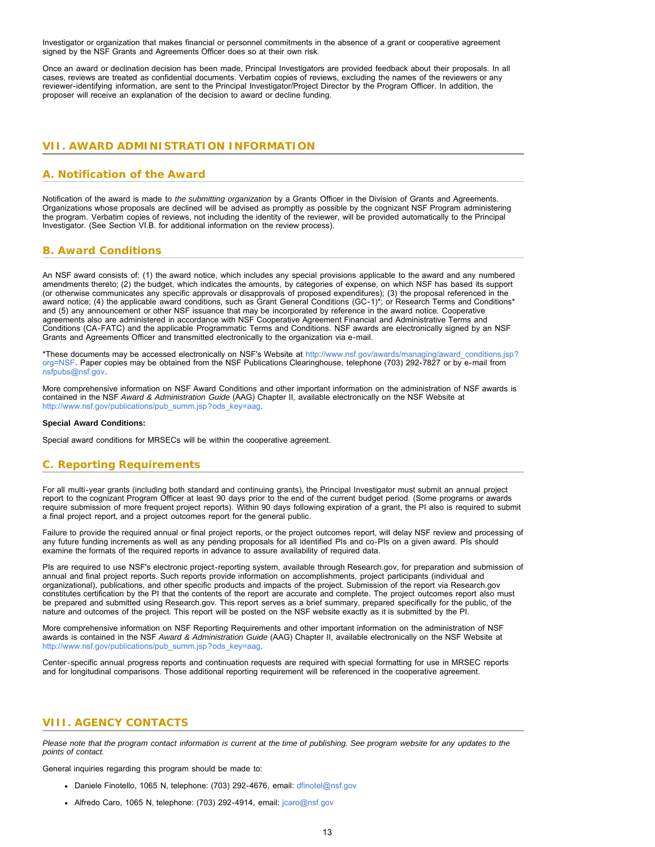Investigator or organization that makes financial or personnel commitments in the absence of a grant or cooperative agreement signed by the NSF Grants and Agreements Officer does so at their own risk.

Once an award or declination decision has been made, Principal Investigators are provided feedback about their proposals. In all cases, reviews are treated as confidential documents. Verbatim copies of reviews, excluding the names of the reviewers or any reviewer-identifying information, are sent to the Principal Investigator/Project Director by the Program Officer. In addition, the proposer will receive an explanation of the decision to award or decline funding.

# <span id="page-12-0"></span>**VII. AWARD ADMINISTRATION INFORMATION**

# <span id="page-12-1"></span>**A. Notification of the Award**

Notification of the award is made to *the submitting organization* by a Grants Officer in the Division of Grants and Agreements. Organizations whose proposals are declined will be advised as promptly as possible by the cognizant NSF Program administering the program. Verbatim copies of reviews, not including the identity of the reviewer, will be provided automatically to the Principal Investigator. (See Section VI.B. for additional information on the review process).

# <span id="page-12-2"></span>**B. Award Conditions**

An NSF award consists of: (1) the award notice, which includes any special provisions applicable to the award and any numbered amendments thereto; (2) the budget, which indicates the amounts, by categories of expense, on which NSF has based its support (or otherwise communicates any specific approvals or disapprovals of proposed expenditures); (3) the proposal referenced in the award notice; (4) the applicable award conditions, such as Grant General Conditions (GC-1)\*; or Research Terms and Conditions\* and (5) any announcement or other NSF issuance that may be incorporated by reference in the award notice. Cooperative agreements also are administered in accordance with NSF Cooperative Agreement Financial and Administrative Terms and Conditions (CA-FATC) and the applicable Programmatic Terms and Conditions. NSF awards are electronically signed by an NSF Grants and Agreements Officer and transmitted electronically to the organization via e-mail.

\*These documents may be accessed electronically on NSF's Website at [http://www.nsf.gov/awards/managing/award\\_conditions.jsp?](http://www.nsf.gov/awards/managing/award_conditions.jsp?org=NSF) [org=NSF.](http://www.nsf.gov/awards/managing/award_conditions.jsp?org=NSF) Paper copies may be obtained from the NSF Publications Clearinghouse, telephone (703) 292-7827 or by e-mail from [nsfpubs@nsf.gov.](mailto:nsfpubs@nsf.gov)

More comprehensive information on NSF Award Conditions and other important information on the administration of NSF awards is contained in the NSF *Award & Administration Guide* (AAG) Chapter II, available electronically on the NSF Website at [http://www.nsf.gov/publications/pub\\_summ.jsp?ods\\_key=aag.](http://www.nsf.gov/publications/pub_summ.jsp?ods_key=aag)

### **Special Award Conditions:**

Special award conditions for MRSECs will be within the cooperative agreement.

# <span id="page-12-3"></span>**C. Reporting Requirements**

For all multi-year grants (including both standard and continuing grants), the Principal Investigator must submit an annual project report to the cognizant Program Officer at least 90 days prior to the end of the current budget period. (Some programs or awards require submission of more frequent project reports). Within 90 days following expiration of a grant, the PI also is required to submit a final project report, and a project outcomes report for the general public.

Failure to provide the required annual or final project reports, or the project outcomes report, will delay NSF review and processing of any future funding increments as well as any pending proposals for all identified PIs and co-PIs on a given award. PIs should examine the formats of the required reports in advance to assure availability of required data.

PIs are required to use NSF's electronic project-reporting system, available through Research.gov, for preparation and submission of annual and final project reports. Such reports provide information on accomplishments, project participants (individual and organizational), publications, and other specific products and impacts of the project. Submission of the report via Research.gov constitutes certification by the PI that the contents of the report are accurate and complete. The project outcomes report also must be prepared and submitted using Research.gov. This report serves as a brief summary, prepared specifically for the public, of the nature and outcomes of the project. This report will be posted on the NSF website exactly as it is submitted by the PI.

More comprehensive information on NSF Reporting Requirements and other important information on the administration of NSF awards is contained in the NSF *Award & Administration Guide* (AAG) Chapter II, available electronically on the NSF Website at [http://www.nsf.gov/publications/pub\\_summ.jsp?ods\\_key=aag.](http://www.nsf.gov/publications/pub_summ.jsp?ods_key=aag)

Center-specific annual progress reports and continuation requests are required with special formatting for use in MRSEC reports and for longitudinal comparisons. Those additional reporting requirement will be referenced in the cooperative agreement.

# <span id="page-12-4"></span>**VIII. AGENCY CONTACTS**

*Please note that the program contact information is current at the time of publishing. See program website for any updates to the points of contact.*

General inquiries regarding this program should be made to:

- Daniele Finotello, 1065 N, telephone: (703) 292-4676, email: [dfinotel@nsf.gov](mailto:dfinotel@nsf.gov)
- Alfredo Caro, 1065 N, telephone: (703) 292-4914, email: [jcaro@nsf.gov](mailto:jcaro@nsf.gov)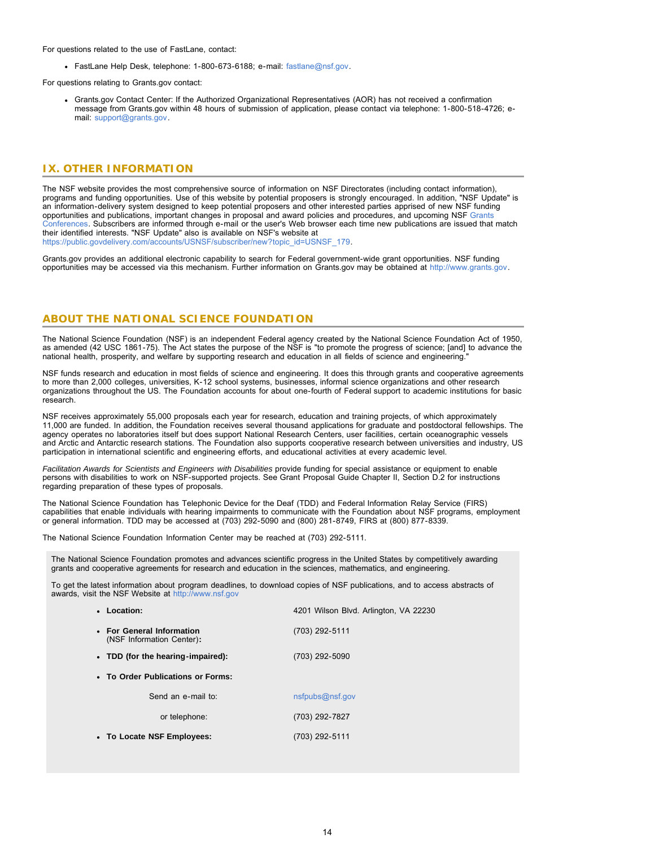For questions related to the use of FastLane, contact:

FastLane Help Desk, telephone: 1-800-673-6188; e-mail: [fastlane@nsf.gov.](mailto:fastlane@nsf.gov)

For questions relating to Grants.gov contact:

Grants.gov Contact Center: If the Authorized Organizational Representatives (AOR) has not received a confirmation message from Grants.gov within 48 hours of submission of application, please contact via telephone: 1-800-518-4726; email: [support@grants.gov.](mailto:support@grants.gov)

### <span id="page-13-0"></span>**IX. OTHER INFORMATION**

The NSF website provides the most comprehensive source of information on NSF Directorates (including contact information), programs and funding opportunities. Use of this website by potential proposers is strongly encouraged. In addition, "NSF Update" is an information-delivery system designed to keep potential proposers and other interested parties apprised of new NSF funding opportunities and publications, important changes in proposal and award policies and procedures, and upcoming NSF [Grants](http://www.nsf.gov/bfa/dias/policy/outreach.jsp) [Conferences.](http://www.nsf.gov/bfa/dias/policy/outreach.jsp) Subscribers are informed through e-mail or the user's Web browser each time new publications are issued that match their identified interests. "NSF Update" also is available on NSF's website at [https://public.govdelivery.com/accounts/USNSF/subscriber/new?topic\\_id=USNSF\\_179.](http://www.nsf.gov/cgi-bin/good-bye?https://public.govdelivery.com/accounts/USNSF/subscriber/new?topic_id=USNSF_179)

Grants.gov provides an additional electronic capability to search for Federal government-wide grant opportunities. NSF funding opportunities may be accessed via this mechanism. Further information on Grants.gov may be obtained at [http://www.grants.gov.](http://www.grants.gov/)

## **ABOUT THE NATIONAL SCIENCE FOUNDATION**

The National Science Foundation (NSF) is an independent Federal agency created by the National Science Foundation Act of 1950, as amended (42 USC 1861-75). The Act states the purpose of the NSF is "to promote the progress of science; [and] to advance the national health, prosperity, and welfare by supporting research and education in all fields of science and engineering."

NSF funds research and education in most fields of science and engineering. It does this through grants and cooperative agreements to more than 2,000 colleges, universities, K-12 school systems, businesses, informal science organizations and other research organizations throughout the US. The Foundation accounts for about one-fourth of Federal support to academic institutions for basic research.

NSF receives approximately 55,000 proposals each year for research, education and training projects, of which approximately 11,000 are funded. In addition, the Foundation receives several thousand applications for graduate and postdoctoral fellowships. The agency operates no laboratories itself but does support National Research Centers, user facilities, certain oceanographic vessels and Arctic and Antarctic research stations. The Foundation also supports cooperative research between universities and industry, US participation in international scientific and engineering efforts, and educational activities at every academic level.

*Facilitation Awards for Scientists and Engineers with Disabilities* provide funding for special assistance or equipment to enable persons with disabilities to work on NSF-supported projects. See Grant Proposal Guide Chapter II, Section D.2 for instructions regarding preparation of these types of proposals.

The National Science Foundation has Telephonic Device for the Deaf (TDD) and Federal Information Relay Service (FIRS) capabilities that enable individuals with hearing impairments to communicate with the Foundation about NSF programs, employment or general information. TDD may be accessed at (703) 292-5090 and (800) 281-8749, FIRS at (800) 877-8339.

The National Science Foundation Information Center may be reached at (703) 292-5111.

The National Science Foundation promotes and advances scientific progress in the United States by competitively awarding grants and cooperative agreements for research and education in the sciences, mathematics, and engineering.

To get the latest information about program deadlines, to download copies of NSF publications, and to access abstracts of awards, visit the NSF Website at [http://www.nsf.gov](http://www.nsf.gov/)

| • Location:                                            | 4201 Wilson Blvd. Arlington, VA 22230 |
|--------------------------------------------------------|---------------------------------------|
| • For General Information<br>(NSF Information Center): | (703) 292-5111                        |
| • TDD (for the hearing-impaired):                      | (703) 292-5090                        |
| • To Order Publications or Forms:                      |                                       |
| Send an e-mail to:                                     | nsfpubs@nsf.gov                       |
| or telephone:                                          | (703) 292-7827                        |
| • To Locate NSF Employees:                             | (703) 292-5111                        |